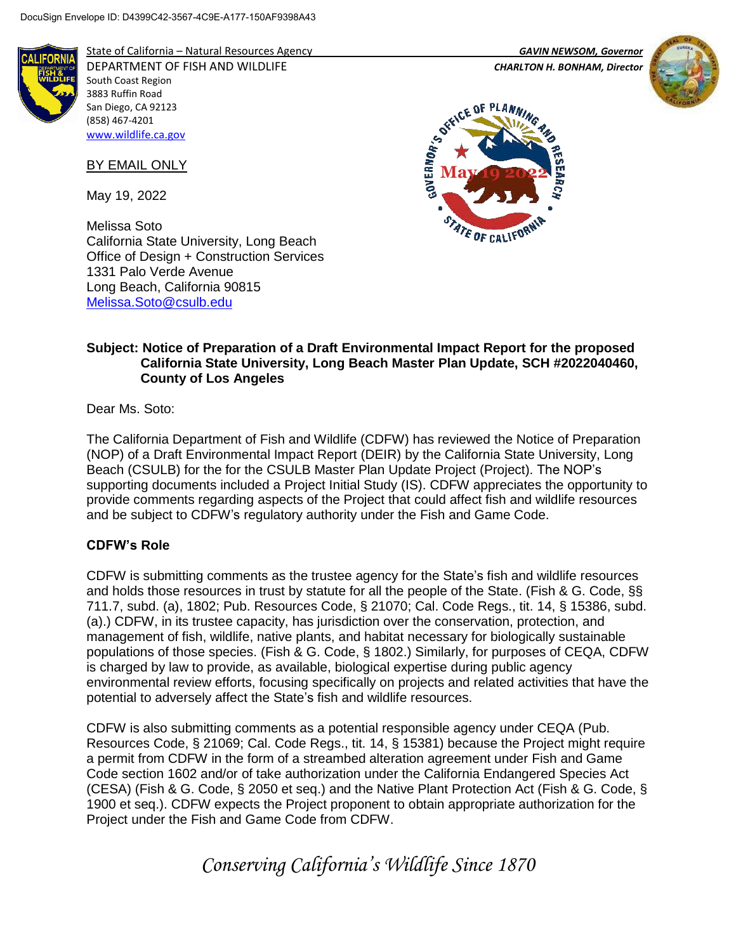

State of California – Natural Resources Agency *GAVIN NEWSOM, Governor* DEPARTMENT OF FISH AND WILDLIFE *CHARLTON H. BONHAM, Director*  South Coast Region 3883 Ruffin Road San Diego, CA 92123 (858) 467-4201

BY EMAIL ONLY

[www.wildlife.ca.gov](http://www.wildlife.ca.gov/)

May 19, 2022

Melissa Soto California State University, Long Beach Office of Design + Construction Services 1331 Palo Verde Avenue Long Beach, California 90815 [Melissa.Soto@csulb.edu](mailto:Melissa.Soto@csulb.edu)

# **Subject: Notice of Preparation of a Draft Environmental Impact Report for the proposed California State University, Long Beach Master Plan Update, SCH #2022040460, County of Los Angeles**

Dear Ms. Soto:

The California Department of Fish and Wildlife (CDFW) has reviewed the Notice of Preparation (NOP) of a Draft Environmental Impact Report (DEIR) by the California State University, Long Beach (CSULB) for the for the CSULB Master Plan Update Project (Project). The NOP's supporting documents included a Project Initial Study (IS). CDFW appreciates the opportunity to provide comments regarding aspects of the Project that could affect fish and wildlife resources and be subject to CDFW's regulatory authority under the Fish and Game Code.

# **CDFW's Role**

CDFW is submitting comments as the trustee agency for the State's fish and wildlife resources and holds those resources in trust by statute for all the people of the State. (Fish & G. Code, §§ 711.7, subd. (a), 1802; Pub. Resources Code, § 21070; Cal. Code Regs., tit. 14, § 15386, subd. (a).) CDFW, in its trustee capacity, has jurisdiction over the conservation, protection, and management of fish, wildlife, native plants, and habitat necessary for biologically sustainable populations of those species. (Fish & G. Code, § 1802.) Similarly, for purposes of CEQA, CDFW is charged by law to provide, as available, biological expertise during public agency environmental review efforts, focusing specifically on projects and related activities that have the potential to adversely affect the State's fish and wildlife resources.

CDFW is also submitting comments as a potential responsible agency under CEQA (Pub. Resources Code, § 21069; Cal. Code Regs., tit. 14, § 15381) because the Project might require a permit from CDFW in the form of a streambed alteration agreement under Fish and Game Code section 1602 and/or of take authorization under the California Endangered Species Act (CESA) (Fish & G. Code, § 2050 et seq.) and the Native Plant Protection Act (Fish & G. Code, § 1900 et seq.). CDFW expects the Project proponent to obtain appropriate authorization for the Project under the Fish and Game Code from CDFW.

*Conserving California's Wildlife Since 1870*





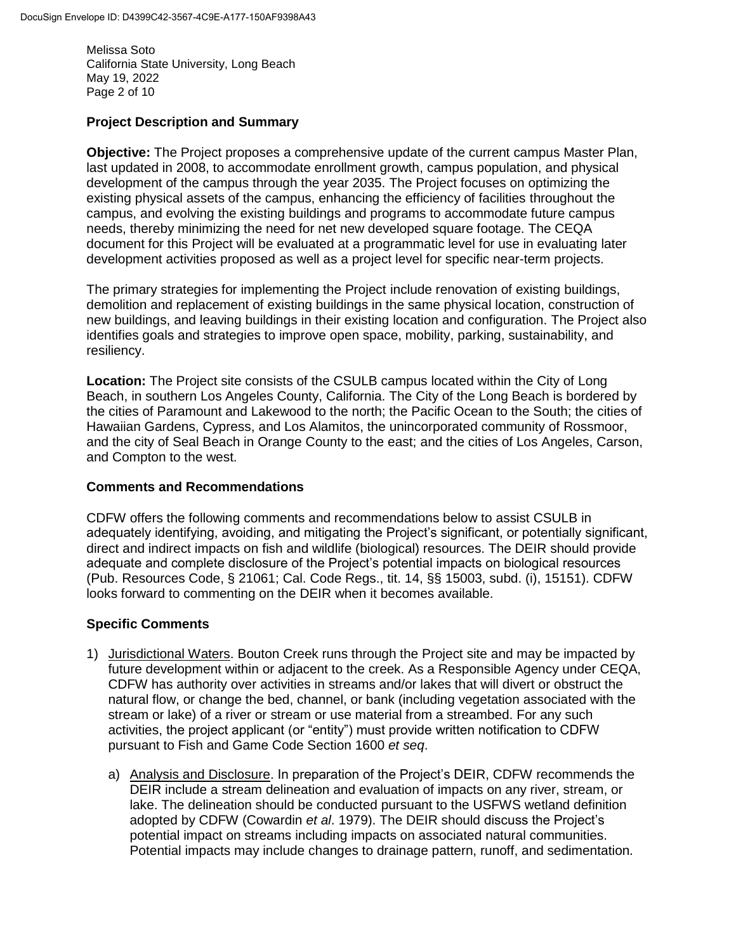Melissa Soto California State University, Long Beach May 19, 2022 Page 2 of 10

#### **Project Description and Summary**

**Objective:** The Project proposes a comprehensive update of the current campus Master Plan, last updated in 2008, to accommodate enrollment growth, campus population, and physical development of the campus through the year 2035. The Project focuses on optimizing the existing physical assets of the campus, enhancing the efficiency of facilities throughout the campus, and evolving the existing buildings and programs to accommodate future campus needs, thereby minimizing the need for net new developed square footage. The CEQA document for this Project will be evaluated at a programmatic level for use in evaluating later development activities proposed as well as a project level for specific near-term projects.

The primary strategies for implementing the Project include renovation of existing buildings, demolition and replacement of existing buildings in the same physical location, construction of new buildings, and leaving buildings in their existing location and configuration. The Project also identifies goals and strategies to improve open space, mobility, parking, sustainability, and resiliency.

**Location:** The Project site consists of the CSULB campus located within the City of Long Beach, in southern Los Angeles County, California. The City of the Long Beach is bordered by the cities of Paramount and Lakewood to the north; the Pacific Ocean to the South; the cities of Hawaiian Gardens, Cypress, and Los Alamitos, the unincorporated community of Rossmoor, and the city of Seal Beach in Orange County to the east; and the cities of Los Angeles, Carson, and Compton to the west.

#### **Comments and Recommendations**

CDFW offers the following comments and recommendations below to assist CSULB in adequately identifying, avoiding, and mitigating the Project's significant, or potentially significant, direct and indirect impacts on fish and wildlife (biological) resources. The DEIR should provide adequate and complete disclosure of the Project's potential impacts on biological resources (Pub. Resources Code, § 21061; Cal. Code Regs., tit. 14, §§ 15003, subd. (i), 15151). CDFW looks forward to commenting on the DEIR when it becomes available.

# **Specific Comments**

- 1) Jurisdictional Waters. Bouton Creek runs through the Project site and may be impacted by future development within or adjacent to the creek. As a Responsible Agency under CEQA, CDFW has authority over activities in streams and/or lakes that will divert or obstruct the natural flow, or change the bed, channel, or bank (including vegetation associated with the stream or lake) of a river or stream or use material from a streambed. For any such activities, the project applicant (or "entity") must provide written notification to CDFW pursuant to Fish and Game Code Section 1600 *et seq*.
	- a) Analysis and Disclosure. In preparation of the Project's DEIR, CDFW recommends the DEIR include a stream delineation and evaluation of impacts on any river, stream, or lake. The delineation should be conducted pursuant to the USFWS wetland definition adopted by CDFW (Cowardin *et al*. 1979). The DEIR should discuss the Project's potential impact on streams including impacts on associated natural communities. Potential impacts may include changes to drainage pattern, runoff, and sedimentation.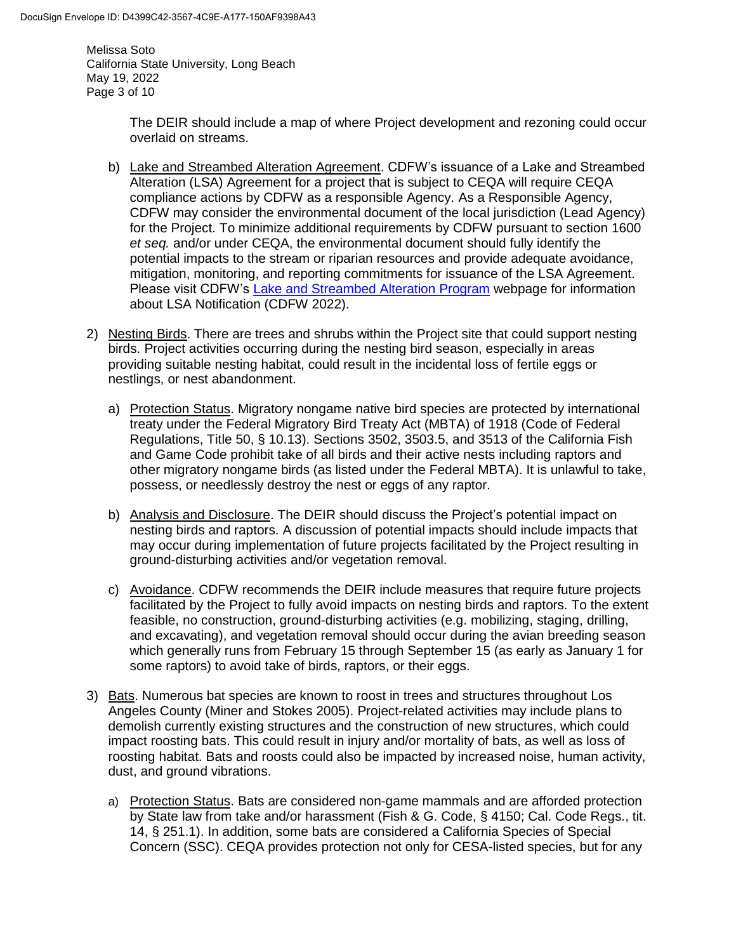Melissa Soto California State University, Long Beach May 19, 2022 Page 3 of 10

> The DEIR should include a map of where Project development and rezoning could occur overlaid on streams.

- b) Lake and Streambed Alteration Agreement. CDFW's issuance of a Lake and Streambed Alteration (LSA) Agreement for a project that is subject to CEQA will require CEQA compliance actions by CDFW as a responsible Agency. As a Responsible Agency, CDFW may consider the environmental document of the local jurisdiction (Lead Agency) for the Project. To minimize additional requirements by CDFW pursuant to section 1600 *et seq.* and/or under CEQA, the environmental document should fully identify the potential impacts to the stream or riparian resources and provide adequate avoidance, mitigation, monitoring, and reporting commitments for issuance of the LSA Agreement. Please visit CDFW's [Lake and Streambed Alteration Program](https://wildlife.ca.gov/Conservation/Environmental-Review/LSA) webpage for information about LSA Notification (CDFW 2022).
- 2) Nesting Birds. There are trees and shrubs within the Project site that could support nesting birds. Project activities occurring during the nesting bird season, especially in areas providing suitable nesting habitat, could result in the incidental loss of fertile eggs or nestlings, or nest abandonment.
	- a) Protection Status. Migratory nongame native bird species are protected by international treaty under the Federal Migratory Bird Treaty Act (MBTA) of 1918 (Code of Federal Regulations, Title 50, § 10.13). Sections 3502, 3503.5, and 3513 of the California Fish and Game Code prohibit take of all birds and their active nests including raptors and other migratory nongame birds (as listed under the Federal MBTA). It is unlawful to take, possess, or needlessly destroy the nest or eggs of any raptor.
	- b) Analysis and Disclosure. The DEIR should discuss the Project's potential impact on nesting birds and raptors. A discussion of potential impacts should include impacts that may occur during implementation of future projects facilitated by the Project resulting in ground-disturbing activities and/or vegetation removal.
	- c) Avoidance. CDFW recommends the DEIR include measures that require future projects facilitated by the Project to fully avoid impacts on nesting birds and raptors. To the extent feasible, no construction, ground-disturbing activities (e.g. mobilizing, staging, drilling, and excavating), and vegetation removal should occur during the avian breeding season which generally runs from February 15 through September 15 (as early as January 1 for some raptors) to avoid take of birds, raptors, or their eggs.
- 3) Bats. Numerous bat species are known to roost in trees and structures throughout Los Angeles County (Miner and Stokes 2005). Project-related activities may include plans to demolish currently existing structures and the construction of new structures, which could impact roosting bats. This could result in injury and/or mortality of bats, as well as loss of roosting habitat. Bats and roosts could also be impacted by increased noise, human activity, dust, and ground vibrations.
	- a) Protection Status. Bats are considered non-game mammals and are afforded protection by State law from take and/or harassment (Fish & G. Code, § 4150; Cal. Code Regs., tit. 14, § 251.1). In addition, some bats are considered a California Species of Special Concern (SSC). CEQA provides protection not only for CESA-listed species, but for any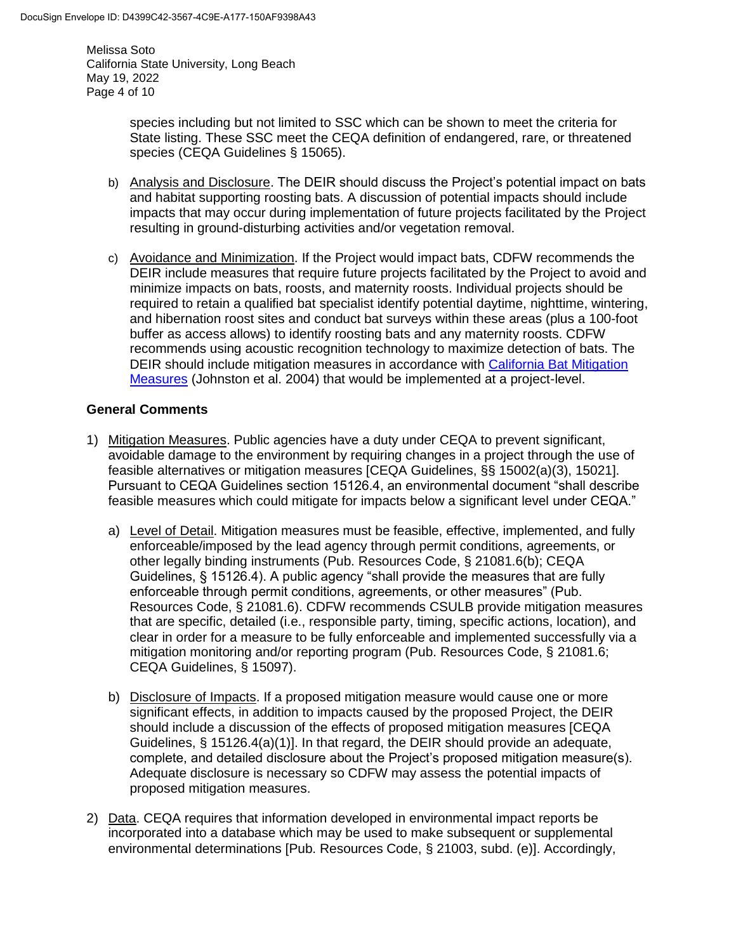Melissa Soto California State University, Long Beach May 19, 2022 Page 4 of 10

> species including but not limited to SSC which can be shown to meet the criteria for State listing. These SSC meet the CEQA definition of endangered, rare, or threatened species (CEQA Guidelines § 15065).

- b) Analysis and Disclosure. The DEIR should discuss the Project's potential impact on bats and habitat supporting roosting bats. A discussion of potential impacts should include impacts that may occur during implementation of future projects facilitated by the Project resulting in ground-disturbing activities and/or vegetation removal.
- c) Avoidance and Minimization. If the Project would impact bats, CDFW recommends the DEIR include measures that require future projects facilitated by the Project to avoid and minimize impacts on bats, roosts, and maternity roosts. Individual projects should be required to retain a qualified bat specialist identify potential daytime, nighttime, wintering, and hibernation roost sites and conduct bat surveys within these areas (plus a 100-foot buffer as access allows) to identify roosting bats and any maternity roosts. CDFW recommends using acoustic recognition technology to maximize detection of bats. The DEIR should include mitigation measures in accordance with [California Bat Mitigation](https://nrm.dfg.ca.gov/FileHandler.ashx?DocumentID=10334)  [Measures](https://nrm.dfg.ca.gov/FileHandler.ashx?DocumentID=10334) (Johnston et al. 2004) that would be implemented at a project-level.

# **General Comments**

- 1) Mitigation Measures. Public agencies have a duty under CEQA to prevent significant, avoidable damage to the environment by requiring changes in a project through the use of feasible alternatives or mitigation measures [CEQA Guidelines, §§ 15002(a)(3), 15021]. Pursuant to CEQA Guidelines section 15126.4, an environmental document "shall describe feasible measures which could mitigate for impacts below a significant level under CEQA."
	- a) Level of Detail. Mitigation measures must be feasible, effective, implemented, and fully enforceable/imposed by the lead agency through permit conditions, agreements, or other legally binding instruments (Pub. Resources Code, § 21081.6(b); CEQA Guidelines, § 15126.4). A public agency "shall provide the measures that are fully enforceable through permit conditions, agreements, or other measures" (Pub. Resources Code, § 21081.6). CDFW recommends CSULB provide mitigation measures that are specific, detailed (i.e., responsible party, timing, specific actions, location), and clear in order for a measure to be fully enforceable and implemented successfully via a mitigation monitoring and/or reporting program (Pub. Resources Code, § 21081.6; CEQA Guidelines, § 15097).
	- b) Disclosure of Impacts. If a proposed mitigation measure would cause one or more significant effects, in addition to impacts caused by the proposed Project, the DEIR should include a discussion of the effects of proposed mitigation measures [CEQA Guidelines, § 15126.4(a)(1)]. In that regard, the DEIR should provide an adequate, complete, and detailed disclosure about the Project's proposed mitigation measure(s). Adequate disclosure is necessary so CDFW may assess the potential impacts of proposed mitigation measures.
- 2) Data. CEQA requires that information developed in environmental impact reports be incorporated into a database which may be used to make subsequent or supplemental environmental determinations [Pub. Resources Code, § 21003, subd. (e)]. Accordingly,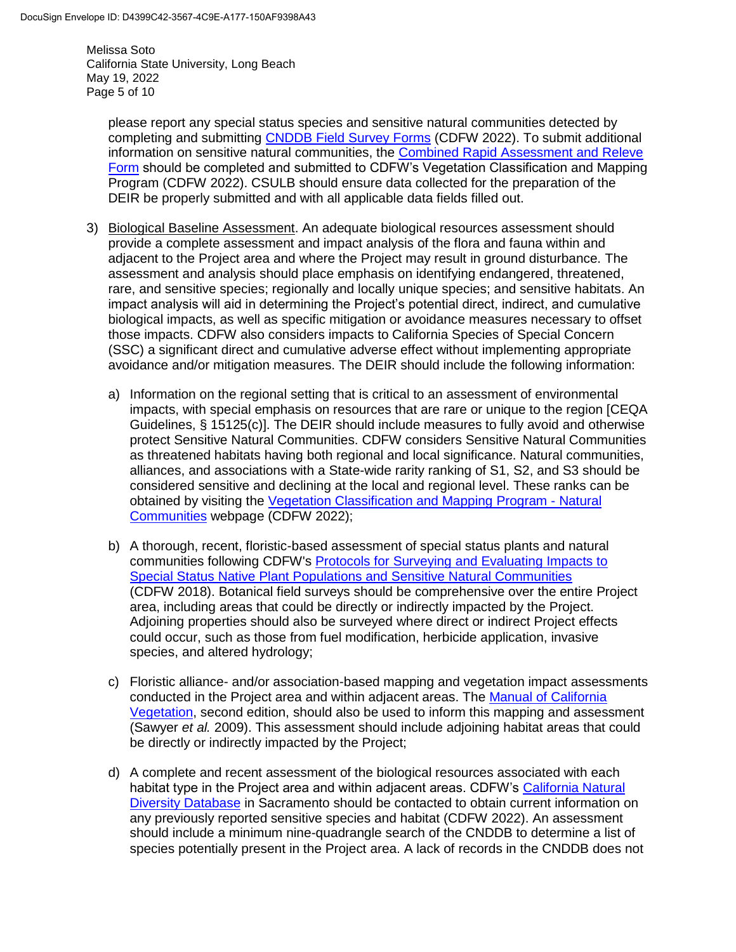Melissa Soto California State University, Long Beach May 19, 2022 Page 5 of 10

> please report any special status species and sensitive natural communities detected by completing and submitting **CNDDB Field Survey Forms** (CDFW 2022). To submit additional information on sensitive natural communities, the Combined Rapid Assessment and Releve [Form](https://wildlife.ca.gov/Data/VegCAMP/Natural-Communities/Submit) should be completed and submitted to CDFW's Vegetation Classification and Mapping Program (CDFW 2022). CSULB should ensure data collected for the preparation of the DEIR be properly submitted and with all applicable data fields filled out.

- 3) Biological Baseline Assessment. An adequate biological resources assessment should provide a complete assessment and impact analysis of the flora and fauna within and adjacent to the Project area and where the Project may result in ground disturbance. The assessment and analysis should place emphasis on identifying endangered, threatened, rare, and sensitive species; regionally and locally unique species; and sensitive habitats. An impact analysis will aid in determining the Project's potential direct, indirect, and cumulative biological impacts, as well as specific mitigation or avoidance measures necessary to offset those impacts. CDFW also considers impacts to California Species of Special Concern (SSC) a significant direct and cumulative adverse effect without implementing appropriate avoidance and/or mitigation measures. The DEIR should include the following information:
	- a) Information on the regional setting that is critical to an assessment of environmental impacts, with special emphasis on resources that are rare or unique to the region [CEQA Guidelines, § 15125(c)]. The DEIR should include measures to fully avoid and otherwise protect Sensitive Natural Communities. CDFW considers Sensitive Natural Communities as threatened habitats having both regional and local significance. Natural communities, alliances, and associations with a State-wide rarity ranking of S1, S2, and S3 should be considered sensitive and declining at the local and regional level. These ranks can be obtained by visiting the [Vegetation Classification and Mapping Program -](https://wildlife.ca.gov/Data/VegCAMP/Natural-Communities) Natural [Communities](https://wildlife.ca.gov/Data/VegCAMP/Natural-Communities) webpage (CDFW 2022);
	- b) A thorough, recent, floristic-based assessment of special status plants and natural communities following CDFW's [Protocols for Surveying and Evaluating Impacts to](https://nrm.dfg.ca.gov/FileHandler.ashx?DocumentID=18959&inline)  [Special Status Native Plant Populations and Sensitive Natural Communities](https://nrm.dfg.ca.gov/FileHandler.ashx?DocumentID=18959&inline) (CDFW 2018). Botanical field surveys should be comprehensive over the entire Project area, including areas that could be directly or indirectly impacted by the Project. Adjoining properties should also be surveyed where direct or indirect Project effects could occur, such as those from fuel modification, herbicide application, invasive species, and altered hydrology;
	- c) Floristic alliance- and/or association-based mapping and vegetation impact assessments conducted in the Project area and within adjacent areas. The [Manual of California](http://vegetation.cnps.org/)  [Vegetation,](http://vegetation.cnps.org/) second edition, should also be used to inform this mapping and assessment (Sawyer *et al.* 2009). This assessment should include adjoining habitat areas that could be directly or indirectly impacted by the Project;
	- d) A complete and recent assessment of the biological resources associated with each habitat type in the Project area and within adjacent areas. CDFW's [California Natural](https://wildlife.ca.gov/Data/CNDDB)  [Diversity Database](https://wildlife.ca.gov/Data/CNDDB) in Sacramento should be contacted to obtain current information on any previously reported sensitive species and habitat (CDFW 2022). An assessment should include a minimum nine-quadrangle search of the CNDDB to determine a list of species potentially present in the Project area. A lack of records in the CNDDB does not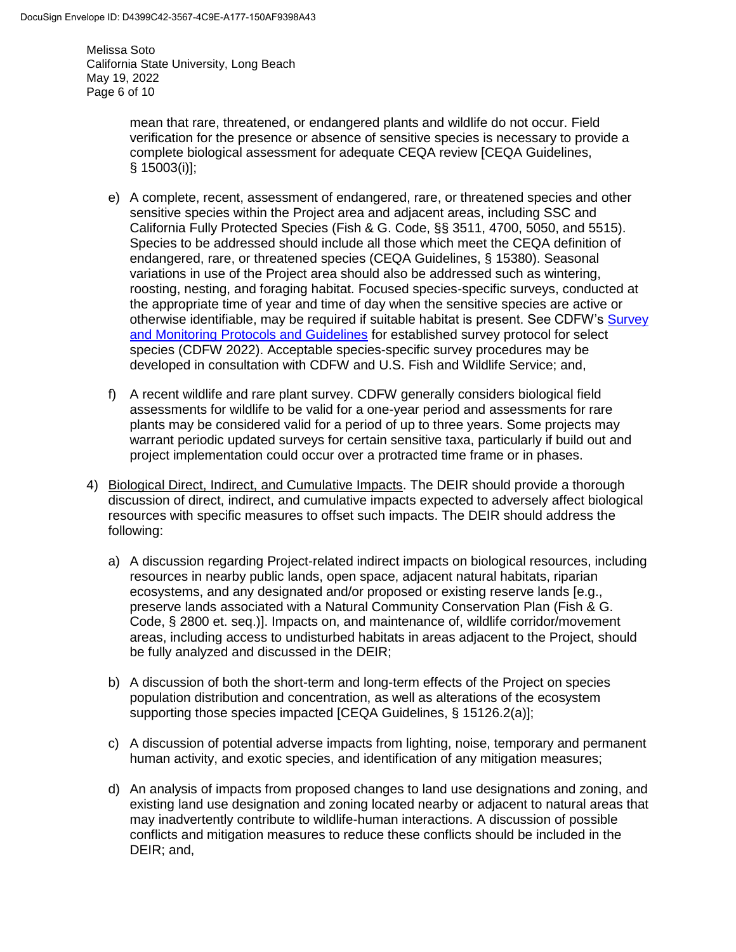Melissa Soto California State University, Long Beach May 19, 2022 Page 6 of 10

> mean that rare, threatened, or endangered plants and wildlife do not occur. Field verification for the presence or absence of sensitive species is necessary to provide a complete biological assessment for adequate CEQA review [CEQA Guidelines, § 15003(i)];

- e) A complete, recent, assessment of endangered, rare, or threatened species and other sensitive species within the Project area and adjacent areas, including SSC and California Fully Protected Species (Fish & G. Code, §§ 3511, 4700, 5050, and 5515). Species to be addressed should include all those which meet the CEQA definition of endangered, rare, or threatened species (CEQA Guidelines, § 15380). Seasonal variations in use of the Project area should also be addressed such as wintering, roosting, nesting, and foraging habitat. Focused species-specific surveys, conducted at the appropriate time of year and time of day when the sensitive species are active or otherwise identifiable, may be required if suitable habitat is present. See CDFW's Survey [and Monitoring Protocols and Guidelines](https://wildlife.ca.gov/conservation/survey-protocols) for established survey protocol for select species (CDFW 2022). Acceptable species-specific survey procedures may be developed in consultation with CDFW and U.S. Fish and Wildlife Service; and,
- f) A recent wildlife and rare plant survey. CDFW generally considers biological field assessments for wildlife to be valid for a one-year period and assessments for rare plants may be considered valid for a period of up to three years. Some projects may warrant periodic updated surveys for certain sensitive taxa, particularly if build out and project implementation could occur over a protracted time frame or in phases.
- 4) Biological Direct, Indirect, and Cumulative Impacts. The DEIR should provide a thorough discussion of direct, indirect, and cumulative impacts expected to adversely affect biological resources with specific measures to offset such impacts. The DEIR should address the following:
	- a) A discussion regarding Project-related indirect impacts on biological resources, including resources in nearby public lands, open space, adjacent natural habitats, riparian ecosystems, and any designated and/or proposed or existing reserve lands [e.g., preserve lands associated with a Natural Community Conservation Plan (Fish & G. Code, § 2800 et. seq.)]. Impacts on, and maintenance of, wildlife corridor/movement areas, including access to undisturbed habitats in areas adjacent to the Project, should be fully analyzed and discussed in the DEIR;
	- b) A discussion of both the short-term and long-term effects of the Project on species population distribution and concentration, as well as alterations of the ecosystem supporting those species impacted [CEQA Guidelines, § 15126.2(a)];
	- c) A discussion of potential adverse impacts from lighting, noise, temporary and permanent human activity, and exotic species, and identification of any mitigation measures;
	- d) An analysis of impacts from proposed changes to land use designations and zoning, and existing land use designation and zoning located nearby or adjacent to natural areas that may inadvertently contribute to wildlife-human interactions. A discussion of possible conflicts and mitigation measures to reduce these conflicts should be included in the DEIR; and,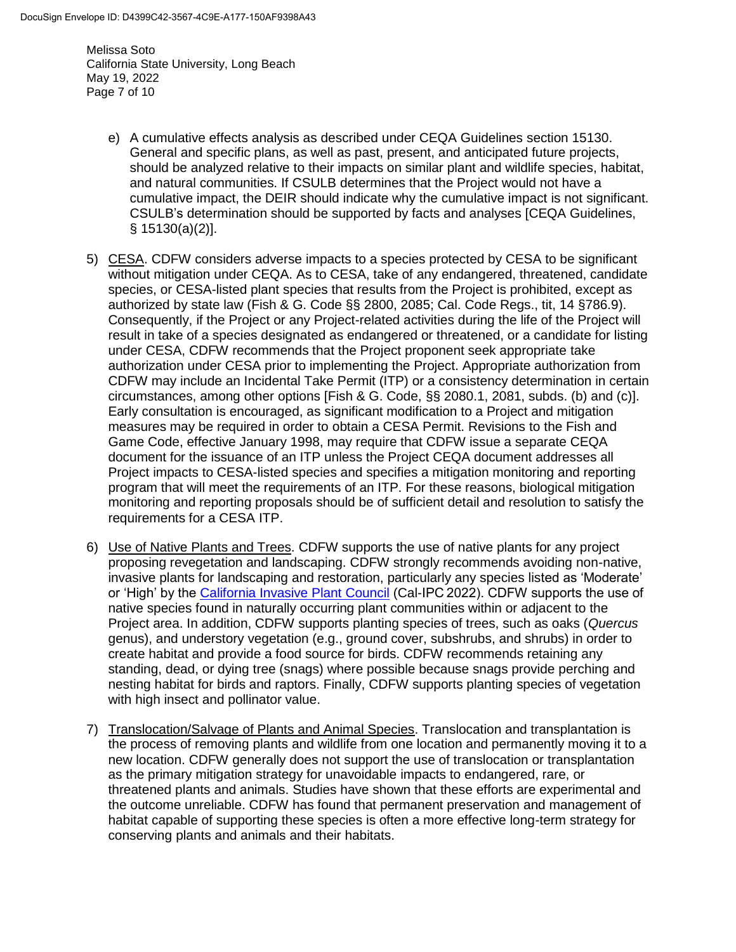Melissa Soto California State University, Long Beach May 19, 2022 Page 7 of 10

- e) A cumulative effects analysis as described under CEQA Guidelines section 15130. General and specific plans, as well as past, present, and anticipated future projects, should be analyzed relative to their impacts on similar plant and wildlife species, habitat, and natural communities. If CSULB determines that the Project would not have a cumulative impact, the DEIR should indicate why the cumulative impact is not significant. CSULB's determination should be supported by facts and analyses [CEQA Guidelines, § 15130(a)(2)].
- 5) CESA. CDFW considers adverse impacts to a species protected by CESA to be significant without mitigation under CEQA. As to CESA, take of any endangered, threatened, candidate species, or CESA-listed plant species that results from the Project is prohibited, except as authorized by state law (Fish & G. Code §§ 2800, 2085; Cal. Code Regs., tit, 14 §786.9). Consequently, if the Project or any Project-related activities during the life of the Project will result in take of a species designated as endangered or threatened, or a candidate for listing under CESA, CDFW recommends that the Project proponent seek appropriate take authorization under CESA prior to implementing the Project. Appropriate authorization from CDFW may include an Incidental Take Permit (ITP) or a consistency determination in certain circumstances, among other options [Fish & G. Code, §§ 2080.1, 2081, subds. (b) and (c)]. Early consultation is encouraged, as significant modification to a Project and mitigation measures may be required in order to obtain a CESA Permit. Revisions to the Fish and Game Code, effective January 1998, may require that CDFW issue a separate CEQA document for the issuance of an ITP unless the Project CEQA document addresses all Project impacts to CESA-listed species and specifies a mitigation monitoring and reporting program that will meet the requirements of an ITP. For these reasons, biological mitigation monitoring and reporting proposals should be of sufficient detail and resolution to satisfy the requirements for a CESA ITP.
- 6) Use of Native Plants and Trees. CDFW supports the use of native plants for any project proposing revegetation and landscaping. CDFW strongly recommends avoiding non-native, invasive plants for landscaping and restoration, particularly any species listed as 'Moderate' or 'High' by the [California Invasive Plant Council](https://www.cal-ipc.org/plants/inventory/) (Cal-IPC 2022). CDFW supports the use of native species found in naturally occurring plant communities within or adjacent to the Project area. In addition, CDFW supports planting species of trees, such as oaks (*Quercus*  genus), and understory vegetation (e.g., ground cover, subshrubs, and shrubs) in order to create habitat and provide a food source for birds. CDFW recommends retaining any standing, dead, or dying tree (snags) where possible because snags provide perching and nesting habitat for birds and raptors. Finally, CDFW supports planting species of vegetation with high insect and pollinator value.
- 7) Translocation/Salvage of Plants and Animal Species. Translocation and transplantation is the process of removing plants and wildlife from one location and permanently moving it to a new location. CDFW generally does not support the use of translocation or transplantation as the primary mitigation strategy for unavoidable impacts to endangered, rare, or threatened plants and animals. Studies have shown that these efforts are experimental and the outcome unreliable. CDFW has found that permanent preservation and management of habitat capable of supporting these species is often a more effective long-term strategy for conserving plants and animals and their habitats.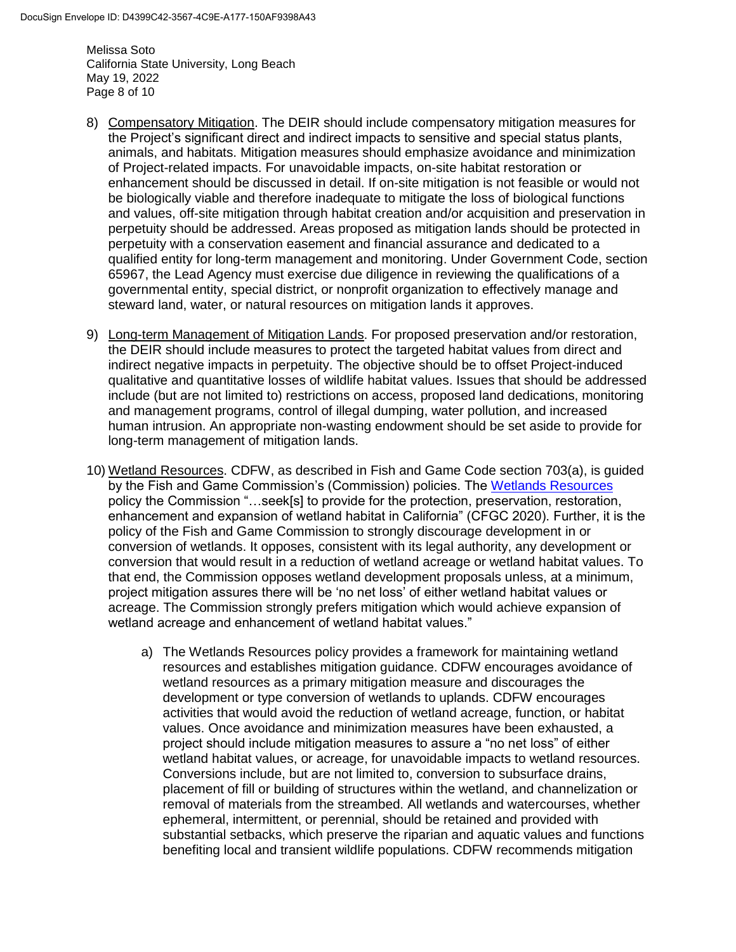Melissa Soto California State University, Long Beach May 19, 2022 Page 8 of 10

- 8) Compensatory Mitigation. The DEIR should include compensatory mitigation measures for the Project's significant direct and indirect impacts to sensitive and special status plants, animals, and habitats. Mitigation measures should emphasize avoidance and minimization of Project-related impacts. For unavoidable impacts, on-site habitat restoration or enhancement should be discussed in detail. If on-site mitigation is not feasible or would not be biologically viable and therefore inadequate to mitigate the loss of biological functions and values, off-site mitigation through habitat creation and/or acquisition and preservation in perpetuity should be addressed. Areas proposed as mitigation lands should be protected in perpetuity with a conservation easement and financial assurance and dedicated to a qualified entity for long-term management and monitoring. Under Government Code, section 65967, the Lead Agency must exercise due diligence in reviewing the qualifications of a governmental entity, special district, or nonprofit organization to effectively manage and steward land, water, or natural resources on mitigation lands it approves.
- 9) Long-term Management of Mitigation Lands. For proposed preservation and/or restoration, the DEIR should include measures to protect the targeted habitat values from direct and indirect negative impacts in perpetuity. The objective should be to offset Project-induced qualitative and quantitative losses of wildlife habitat values. Issues that should be addressed include (but are not limited to) restrictions on access, proposed land dedications, monitoring and management programs, control of illegal dumping, water pollution, and increased human intrusion. An appropriate non-wasting endowment should be set aside to provide for long-term management of mitigation lands.
- 10) Wetland Resources. CDFW, as described in Fish and Game Code section 703(a), is guided by the Fish and Game Commission's (Commission) policies. The [Wetlands Resources](https://fgc.ca.gov/About/Policies/Miscellaneous) policy the Commission "…seek[s] to provide for the protection, preservation, restoration, enhancement and expansion of wetland habitat in California" (CFGC 2020). Further, it is the policy of the Fish and Game Commission to strongly discourage development in or conversion of wetlands. It opposes, consistent with its legal authority, any development or conversion that would result in a reduction of wetland acreage or wetland habitat values. To that end, the Commission opposes wetland development proposals unless, at a minimum, project mitigation assures there will be 'no net loss' of either wetland habitat values or acreage. The Commission strongly prefers mitigation which would achieve expansion of wetland acreage and enhancement of wetland habitat values."
	- a) The Wetlands Resources policy provides a framework for maintaining wetland resources and establishes mitigation guidance. CDFW encourages avoidance of wetland resources as a primary mitigation measure and discourages the development or type conversion of wetlands to uplands. CDFW encourages activities that would avoid the reduction of wetland acreage, function, or habitat values. Once avoidance and minimization measures have been exhausted, a project should include mitigation measures to assure a "no net loss" of either wetland habitat values, or acreage, for unavoidable impacts to wetland resources. Conversions include, but are not limited to, conversion to subsurface drains, placement of fill or building of structures within the wetland, and channelization or removal of materials from the streambed. All wetlands and watercourses, whether ephemeral, intermittent, or perennial, should be retained and provided with substantial setbacks, which preserve the riparian and aquatic values and functions benefiting local and transient wildlife populations. CDFW recommends mitigation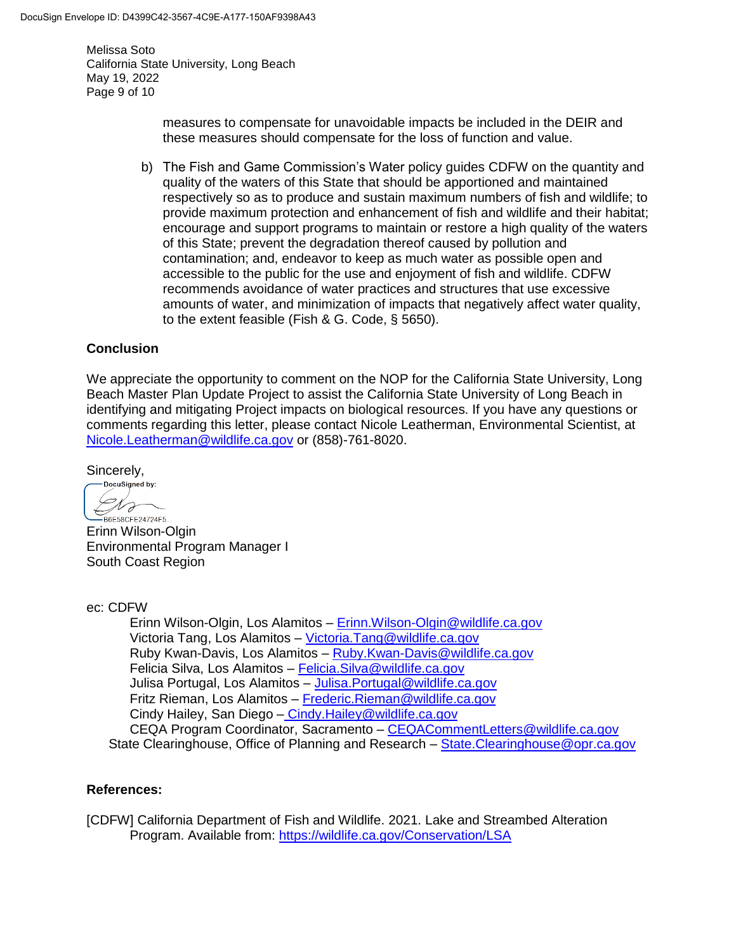Melissa Soto California State University, Long Beach May 19, 2022 Page 9 of 10

> measures to compensate for unavoidable impacts be included in the DEIR and these measures should compensate for the loss of function and value.

b) The Fish and Game Commission's Water policy guides CDFW on the quantity and quality of the waters of this State that should be apportioned and maintained respectively so as to produce and sustain maximum numbers of fish and wildlife; to provide maximum protection and enhancement of fish and wildlife and their habitat; encourage and support programs to maintain or restore a high quality of the waters of this State; prevent the degradation thereof caused by pollution and contamination; and, endeavor to keep as much water as possible open and accessible to the public for the use and enjoyment of fish and wildlife. CDFW recommends avoidance of water practices and structures that use excessive amounts of water, and minimization of impacts that negatively affect water quality, to the extent feasible (Fish & G. Code, § 5650).

#### **Conclusion**

We appreciate the opportunity to comment on the NOP for the California State University, Long Beach Master Plan Update Project to assist the California State University of Long Beach in identifying and mitigating Project impacts on biological resources. If you have any questions or comments regarding this letter, please contact Nicole Leatherman, Environmental Scientist, at [Nicole.Leatherman@wildlife.ca.gov](mailto:Nicole.Leatherman@wildlife.ca.gov) or (858)-761-8020.

Sincerely,

DocuSigned by: 1 J

-<br>B6E58CFE24724F5... Erinn Wilson-Olgin Environmental Program Manager I South Coast Region

ec: CDFW

Erinn Wilson-Olgin, Los Alamitos – [Erinn.Wilson-Olgin@wildlife.ca.gov](mailto:Erinn.Wilson-Olgin@wildlife.ca.gov) Victoria Tang, Los Alamitos – [Victoria.Tang@wildlife.ca.gov](mailto:Victoria.Tang@wildlife.ca.gov) Ruby Kwan-Davis, Los Alamitos – [Ruby.Kwan-Davis@wildlife.ca.gov](mailto:Ruby.Kwan-Davis@wildlife.ca.gov) Felicia Silva, Los Alamitos - [Felicia.Silva@wildlife.ca.gov](mailto:Felicia.Silva@wildlife.ca.gov) Julisa Portugal, Los Alamitos – [Julisa.Portugal@wildlife.ca.gov](mailto:Julisa.Portugal@wildlife.ca.gov) Fritz Rieman, Los Alamitos – [Frederic.Rieman@wildlife.ca.gov](mailto:Frederic.Rieman@wildlife.ca.gov) Cindy Hailey, San Diego – Cindy.Hailey@wildlife.ca.gov CEQA Program Coordinator, Sacramento – [CEQACommentLetters@wildlife.ca.gov](mailto:CEQACommentLetters@wildlife.ca.gov)  State Clearinghouse, Office of Planning and Research – [State.Clearinghouse@opr.ca.gov](mailto:State.Clearinghouse@opr.ca.gov)

#### **References:**

[CDFW] California Department of Fish and Wildlife. 2021. Lake and Streambed Alteration Program. Available from:<https://wildlife.ca.gov/Conservation/LSA>